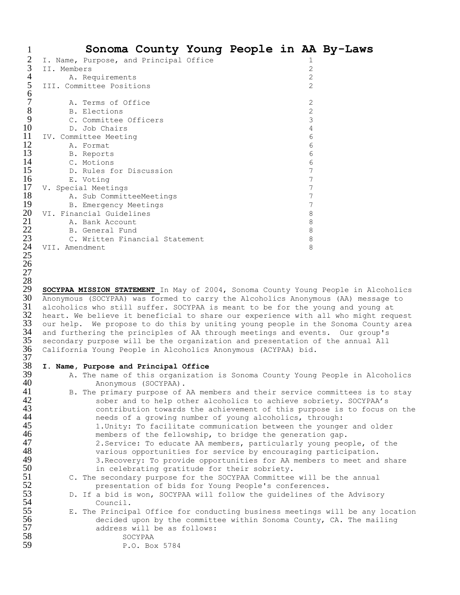|    | Sonoma County Young People in AA By-Laws |  |   |  |
|----|------------------------------------------|--|---|--|
|    | I. Name, Purpose, and Principal Office   |  | T |  |
| 3  | II. Members                              |  | 2 |  |
| 4  | A. Requirements                          |  | 2 |  |
| 5  | III. Committee Positions                 |  | 2 |  |
| 6  |                                          |  |   |  |
| 7  | A. Terms of Office                       |  | 2 |  |
| 8  | B. Elections                             |  | 2 |  |
| 9  | C. Committee Officers                    |  | 3 |  |
| 10 | D. Job Chairs                            |  |   |  |
| 11 | IV. Committee Meeting                    |  | 6 |  |
| 12 | A. Format                                |  | 6 |  |
| 13 | B. Reports                               |  | 6 |  |
| 14 | C. Motions                               |  | 6 |  |
| 15 | D. Rules for Discussion                  |  |   |  |
| 16 | E. Voting                                |  |   |  |
| 17 | V. Special Meetings                      |  |   |  |
| 18 | A. Sub CommitteeMeetings                 |  |   |  |
| 19 | B. Emergency Meetings                    |  |   |  |
| 20 | VI. Financial Guidelines                 |  | 8 |  |
| 21 | A. Bank Account                          |  | 8 |  |
| 22 | B. General Fund                          |  | 8 |  |
| 23 | C. Written Financial Statement           |  | 8 |  |
| 24 | VII. Amendment                           |  | 8 |  |
| 25 |                                          |  |   |  |

 **SOCYPAA MISSION STATEMENT** In May of 2004, Sonoma County Young People in Alcoholics 30 Anonymous (SOCYPAA) was formed to carry the Alcoholics Anonymous (AA) message to 31 alcoholics who still suffer. SOCYPAA is meant to be for the young and young at alcoholics who still suffer. SOCYPAA is meant to be for the young and young at 32 heart. We believe it beneficial to share our experience with all who might request<br>33 our help. We propose to do this by uniting young people in the Sonoma County area 33 our help. We propose to do this by uniting young people in the Sonoma County area<br>34 and furthering the principles of AA through meetings and events. Our group's  $\,$  and furthering the principles of AA through meetings and events. Our group's<br> $35$   $\,$  secondary purpose will be the organization and presentation of the annual All secondary purpose will be the organization and presentation of the annual All California Young People in Alcoholics Anonymous (ACYPAA) bid.

## $\frac{37}{38}$ **I. Name, Purpose and Principal Office**

- A. The name of this organization is Sonoma County Young People in Alcoholics
- 40 Anonymous (SOCYPAA).<br>41 B. The primary purpose of 41 B. The primary purpose of AA members and their service committees is to stay<br>42 Sober and to help other alcoholics to achieve sobriety. SOCYPAA's 42 sober and to help other alcoholics to achieve sobriety. SOCYPAA's<br>43 contribution towards the achievement of this purpose is to focus 43 contribution towards the achievement of this purpose is to focus on the<br>44 energy of a growing number of young alcoholics, through: 44 **120 needs of a growing number of young alcoholics, through:**<br>45 1. Unity: To facilitate communication between the younge 1.Unity: To facilitate communication between the younger and older 46 **1988** members of the fellowship, to bridge the generation gap.<br>47 2. Service: To educate AA members, particularly young peo 47 2.Service: To educate AA members, particularly young people, of the<br>48 various opportunities for service by encouraging participation. 48 various opportunities for service by encouraging participation.<br>49 3. Recovery: To provide opportunities for AA members to meet and 49 3.Recovery: To provide opportunities for AA members to meet and share<br>50 50 50 50 in celebrating gratitude for their sobriety. 50 in celebrating gratitude for their sobriety.<br>51 C. The secondary purpose for the SOCYPAA Committee
- 51 C. The secondary purpose for the SOCYPAA Committee will be the annual<br>52 **Example 18** oresentation of bids for Young People's conferences.
- 52 presentation of bids for Young People's conferences.<br>53 D. If a bid is won, SOCYPAA will follow the guidelines of<br>54 Council. D. If a bid is won, SOCYPAA will follow the guidelines of the Advisory 54 Council.<br>55 E. The Princip
- E. The Principal Office for conducting business meetings will be any location 56 decided upon by the committee within Sonoma County, CA. The mailing<br>57 decidees will be as follows: address will be as follows:
- 58 SOCYPAA<br>59 P.O. Bor

 

P.O. Box 5784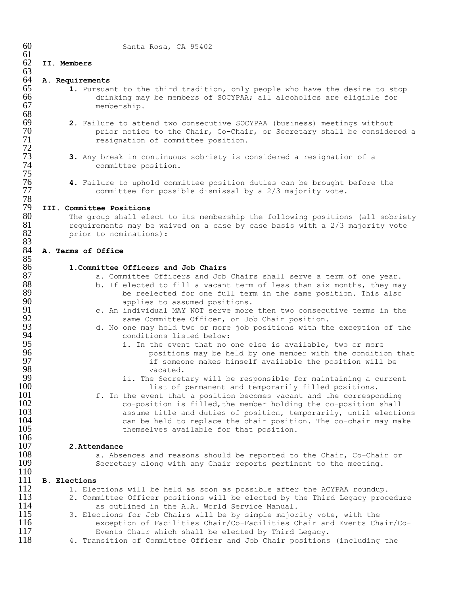| 60         | Santa Rosa, CA 95402                                                                                                                                |
|------------|-----------------------------------------------------------------------------------------------------------------------------------------------------|
| 61<br>62   |                                                                                                                                                     |
| 63         | II. Members                                                                                                                                         |
| 64         | A. Requirements                                                                                                                                     |
| 65         | 1. Pursuant to the third tradition, only people who have the desire to stop                                                                         |
| 66         | drinking may be members of SOCYPAA; all alcoholics are eligible for                                                                                 |
| 67         | membership.                                                                                                                                         |
| 68<br>69   |                                                                                                                                                     |
| 70         | 2. Failure to attend two consecutive SOCYPAA (business) meetings without<br>prior notice to the Chair, Co-Chair, or Secretary shall be considered a |
| 71         | resignation of committee position.                                                                                                                  |
| 72         |                                                                                                                                                     |
| 73         | 3. Any break in continuous sobriety is considered a resignation of a                                                                                |
| 74         | committee position.                                                                                                                                 |
| 75         |                                                                                                                                                     |
| 76<br>77   | 4. Failure to uphold committee position duties can be brought before the                                                                            |
| 78         | committee for possible dismissal by a 2/3 majority vote.                                                                                            |
| 79         | III. Committee Positions                                                                                                                            |
| 80         | The group shall elect to its membership the following positions (all sobriety                                                                       |
| 81         | requirements may be waived on a case by case basis with a 2/3 majority vote                                                                         |
| 82         | prior to nominations):                                                                                                                              |
| 83<br>84   | A. Terms of Office                                                                                                                                  |
| 85         |                                                                                                                                                     |
| 86         | 1. Committee Officers and Job Chairs                                                                                                                |
| 87         | a. Committee Officers and Job Chairs shall serve a term of one year.                                                                                |
| 88         | b. If elected to fill a vacant term of less than six months, they may                                                                               |
| 89<br>90   | be reelected for one full term in the same position. This also                                                                                      |
| 91         | applies to assumed positions.<br>c. An individual MAY NOT serve more then two consecutive terms in the                                              |
| 92         | same Committee Officer, or Job Chair position.                                                                                                      |
| 93         | d. No one may hold two or more job positions with the exception of the                                                                              |
| 94         | conditions listed below:                                                                                                                            |
| 95         | i. In the event that no one else is available, two or more                                                                                          |
| 96<br>97   | positions may be held by one member with the condition that                                                                                         |
| 98         | if someone makes himself available the position will be<br>vacated.                                                                                 |
| 99         | ii. The Secretary will be responsible for maintaining a current                                                                                     |
| 100        | list of permanent and temporarily filled positions.                                                                                                 |
| 101        | f. In the event that a position becomes vacant and the corresponding                                                                                |
| 102        | co-position is filled, the member holding the co-position shall                                                                                     |
| 103        | assume title and duties of position, temporarily, until elections                                                                                   |
| 104<br>105 | can be held to replace the chair position. The co-chair may make<br>themselves available for that position.                                         |
| 106        |                                                                                                                                                     |
| 107        | 2. Attendance                                                                                                                                       |
| 108        | a. Absences and reasons should be reported to the Chair, Co-Chair or                                                                                |
| 109        | Secretary along with any Chair reports pertinent to the meeting.                                                                                    |
| 110<br>111 | <b>B.</b> Elections                                                                                                                                 |
| 112        | 1. Elections will be held as soon as possible after the ACYPAA roundup.                                                                             |
| 113        | 2. Committee Officer positions will be elected by the Third Legacy procedure                                                                        |
| 114        | as outlined in the A.A. World Service Manual.                                                                                                       |
| 115        | 3. Elections for Job Chairs will be by simple majority vote, with the                                                                               |
| 116        | exception of Facilities Chair/Co-Facilities Chair and Events Chair/Co-                                                                              |
| 117        | Events Chair which shall be elected by Third Legacy.                                                                                                |
| 118        | 4. Transition of Committee Officer and Job Chair positions (including the                                                                           |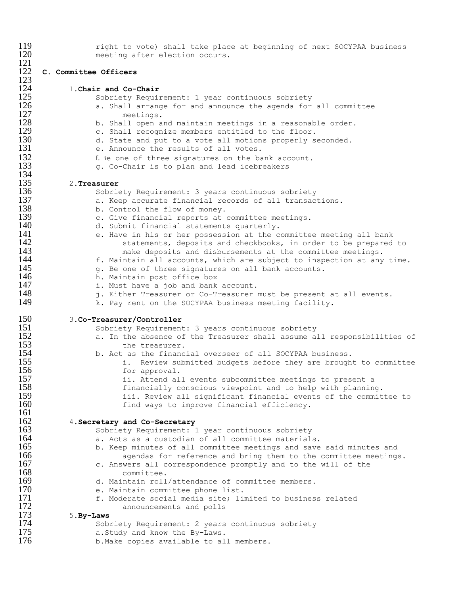| 119 | right to vote) shall take place at beginning of next SOCYPAA business   |
|-----|-------------------------------------------------------------------------|
| 120 | meeting after election occurs.                                          |
| 121 |                                                                         |
| 122 | C. Committee Officers                                                   |
| 123 |                                                                         |
| 124 | 1. Chair and Co-Chair                                                   |
| 125 | Sobriety Requirement: 1 year continuous sobriety                        |
| 126 | a. Shall arrange for and announce the agenda for all committee          |
| 127 | meetings.                                                               |
| 128 | b. Shall open and maintain meetings in a reasonable order.              |
| 129 | c. Shall recognize members entitled to the floor.                       |
| 130 | d. State and put to a vote all motions properly seconded.               |
| 131 | e. Announce the results of all votes.                                   |
| 132 | f. Be one of three signatures on the bank account.                      |
| 133 | g. Co-Chair is to plan and lead icebreakers                             |
| 134 |                                                                         |
| 135 | 2. Treasurer                                                            |
| 136 | Sobriety Requirement: 3 years continuous sobriety                       |
| 137 | a. Keep accurate financial records of all transactions.                 |
| 138 | b. Control the flow of money.                                           |
| 139 | c. Give financial reports at committee meetings.                        |
| 140 | d. Submit financial statements quarterly.                               |
| 141 | e. Have in his or her possession at the committee meeting all bank      |
| 142 | statements, deposits and checkbooks, in order to be prepared to         |
| 143 | make deposits and disbursements at the committee meetings.              |
| 144 | f. Maintain all accounts, which are subject to inspection at any time.  |
| 145 | g. Be one of three signatures on all bank accounts.                     |
| 146 | h. Maintain post office box                                             |
| 147 | i. Must have a job and bank account.                                    |
| 148 | j. Either Treasurer or Co-Treasurer must be present at all events.      |
| 149 | k. Pay rent on the SOCYPAA business meeting facility.                   |
| 150 | 3.Co-Treasurer/Controller                                               |
| 151 | Sobriety Requirement: 3 years continuous sobriety                       |
| 152 | a. In the absence of the Treasurer shall assume all responsibilities of |
| 153 | the treasurer.                                                          |
| 154 | b. Act as the financial overseer of all SOCYPAA business.               |
| 155 | i. Review submitted budgets before they are brought to committee        |
| 156 | for approval.                                                           |
| 157 | ii. Attend all events subcommittee meetings to present a                |
| 158 | financially conscious viewpoint and to help with planning.              |
| 159 | iii. Review all significant financial events of the committee to        |
| 160 | find ways to improve financial efficiency.                              |
| 161 |                                                                         |
| 162 | 4. Secretary and Co-Secretary                                           |
| 163 | Sobriety Requirement: 1 year continuous sobriety                        |
| 164 | a. Acts as a custodian of all committee materials.                      |
| 165 | b. Keep minutes of all committee meetings and save said minutes and     |
| 166 | agendas for reference and bring them to the committee meetings.         |
| 167 | c. Answers all correspondence promptly and to the will of the           |
| 168 | committee.                                                              |
| 169 | d. Maintain roll/attendance of committee members.                       |
| 170 | e. Maintain committee phone list.                                       |
| 171 | f. Moderate social media site; limited to business related              |
| 172 | announcements and polls                                                 |
| 173 | $5.$ By-Laws                                                            |
| 174 | Sobriety Requirement: 2 years continuous sobriety                       |
| 175 | a. Study and know the By-Laws.                                          |
| 176 | b. Make copies available to all members.                                |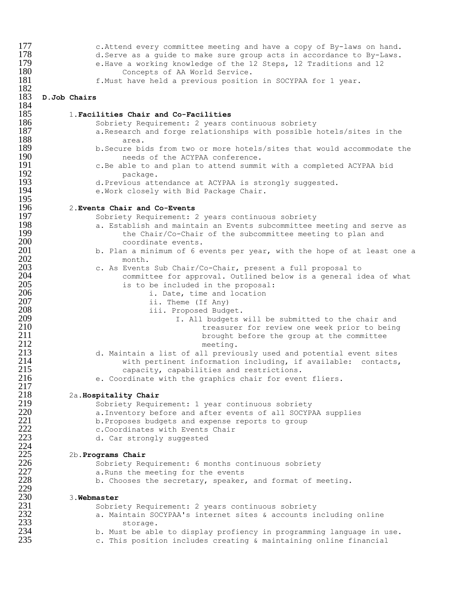| 177        | c. Attend every committee meeting and have a copy of By-laws on hand.                                            |
|------------|------------------------------------------------------------------------------------------------------------------|
| 178        | d. Serve as a guide to make sure group acts in accordance to By-Laws.                                            |
| 179        | e. Have a working knowledge of the 12 Steps, 12 Traditions and 12                                                |
| 180        | Concepts of AA World Service.                                                                                    |
| 181        | f. Must have held a previous position in SOCYPAA for 1 year.                                                     |
| 182        |                                                                                                                  |
| 183        | D.Job Chairs                                                                                                     |
| 184        |                                                                                                                  |
| 185        | 1. Facilities Chair and Co-Facilities                                                                            |
| 186        | Sobriety Requirement: 2 years continuous sobriety                                                                |
| 187        | a. Research and forge relationships with possible hotels/sites in the                                            |
| 188        | area.                                                                                                            |
| 189        | b. Secure bids from two or more hotels/sites that would accommodate the                                          |
| 190        | needs of the ACYPAA conference.                                                                                  |
| 191<br>192 | c.Be able to and plan to attend summit with a completed ACYPAA bid                                               |
| 193        | package.                                                                                                         |
| 194        | d. Previous attendance at ACYPAA is strongly suggested.                                                          |
| 195        | e. Work closely with Bid Package Chair.                                                                          |
| 196        | 2. Events Chair and Co-Events                                                                                    |
| 197        | Sobriety Requirement: 2 years continuous sobriety                                                                |
| 198        | a. Establish and maintain an Events subcommittee meeting and serve as                                            |
| 199        | the Chair/Co-Chair of the subcommittee meeting to plan and                                                       |
| 200        | coordinate events.                                                                                               |
| 201        | b. Plan a minimum of 6 events per year, with the hope of at least one a                                          |
| 202        | month.                                                                                                           |
| 203        | c. As Events Sub Chair/Co-Chair, present a full proposal to                                                      |
| 204        | committee for approval. Outlined below is a general idea of what                                                 |
| 205        | is to be included in the proposal:                                                                               |
| 206        | i. Date, time and location                                                                                       |
| 207        | ii. Theme (If Any)                                                                                               |
| 208        | iii. Proposed Budget.                                                                                            |
| 209        | I. All budgets will be submitted to the chair and                                                                |
| 210        | treasurer for review one week prior to being                                                                     |
| 211        | brought before the group at the committee                                                                        |
| 212        | meeting.                                                                                                         |
| 213        | d. Maintain a list of all previously used and potential event sites                                              |
| 214        | with pertinent information including, if available: contacts,                                                    |
| 215        | capacity, capabilities and restrictions.                                                                         |
| 216        | e. Coordinate with the graphics chair for event fliers.                                                          |
| 217<br>218 |                                                                                                                  |
| 219        | 2a. Hospitality Chair                                                                                            |
| 220        | Sobriety Requirement: 1 year continuous sobriety<br>a. Inventory before and after events of all SOCYPAA supplies |
| 221        | b. Proposes budgets and expense reports to group                                                                 |
| 222        | c. Coordinates with Events Chair                                                                                 |
| 223        | d. Car strongly suggested                                                                                        |
| 224        |                                                                                                                  |
| 225        | 2b. Programs Chair                                                                                               |
| 226        | Sobriety Requirement: 6 months continuous sobriety                                                               |
| 227        | a. Runs the meeting for the events                                                                               |
| 228        | b. Chooses the secretary, speaker, and format of meeting.                                                        |
| 229        |                                                                                                                  |
| 230        | 3. Webmaster                                                                                                     |
| 231        | Sobriety Requirement: 2 years continuous sobriety                                                                |
| 232        | a. Maintain SOCYPAA's internet sites & accounts including online                                                 |
| 233        | storage.                                                                                                         |
| 234        | b. Must be able to display profiency in programming language in use.                                             |
| 235        | c. This position includes creating & maintaining online financial                                                |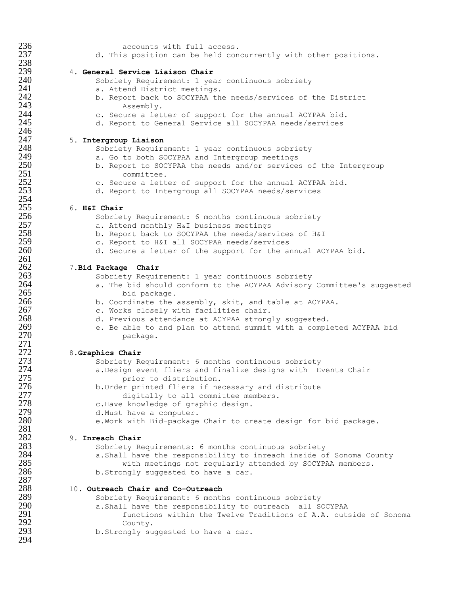| 236 | accounts with full access.                                             |
|-----|------------------------------------------------------------------------|
| 237 | d. This position can be held concurrently with other positions.        |
| 238 |                                                                        |
| 239 | 4. General Service Liaison Chair                                       |
| 240 |                                                                        |
|     | Sobriety Requirement: 1 year continuous sobriety                       |
| 241 | a. Attend District meetings.                                           |
| 242 | b. Report back to SOCYPAA the needs/services of the District           |
| 243 | Assembly.                                                              |
| 244 |                                                                        |
|     | c. Secure a letter of support for the annual ACYPAA bid.               |
| 245 | d. Report to General Service all SOCYPAA needs/services                |
| 246 |                                                                        |
| 247 | 5. Intergroup Liaison                                                  |
| 248 | Sobriety Requirement: 1 year continuous sobriety                       |
| 249 | a. Go to both SOCYPAA and Intergroup meetings                          |
| 250 |                                                                        |
|     | b. Report to SOCYPAA the needs and/or services of the Intergroup       |
| 251 | committee.                                                             |
| 252 | c. Secure a letter of support for the annual ACYPAA bid.               |
| 253 | d. Report to Intergroup all SOCYPAA needs/services                     |
| 254 |                                                                        |
| 255 | 6. H&I Chair                                                           |
|     |                                                                        |
| 256 | Sobriety Requirement: 6 months continuous sobriety                     |
| 257 | a. Attend monthly H&I business meetings                                |
| 258 | b. Report back to SOCYPAA the needs/services of H&I                    |
| 259 | c. Report to H&I all SOCYPAA needs/services                            |
| 260 | d. Secure a letter of the support for the annual ACYPAA bid.           |
|     |                                                                        |
| 261 |                                                                        |
| 262 | 7. Bid Package Chair                                                   |
| 263 | Sobriety Requirement: 1 year continuous sobriety                       |
| 264 | a. The bid should conform to the ACYPAA Advisory Committee's suggested |
| 265 | bid package.                                                           |
| 266 |                                                                        |
|     | b. Coordinate the assembly, skit, and table at ACYPAA.                 |
| 267 | c. Works closely with facilities chair.                                |
| 268 | d. Previous attendance at ACYPAA strongly suggested.                   |
| 269 | e. Be able to and plan to attend summit with a completed ACYPAA bid    |
| 270 | package.                                                               |
| 271 |                                                                        |
| 272 |                                                                        |
|     | 8. Graphics Chair                                                      |
| 273 | Sobriety Requirement: 6 months continuous sobriety                     |
| 274 | a. Design event fliers and finalize designs with Events Chair          |
| 275 | prior to distribution.                                                 |
| 276 | b. Order printed fliers if necessary and distribute                    |
| 277 |                                                                        |
|     | digitally to all committee members.                                    |
| 278 | c.Have knowledge of graphic design.                                    |
| 279 | d. Must have a computer.                                               |
| 280 | e. Work with Bid-package Chair to create design for bid package.       |
| 281 |                                                                        |
| 282 | 9. Inreach Chair                                                       |
| 283 |                                                                        |
|     | Sobriety Requirements: 6 months continuous sobriety                    |
| 284 | a. Shall have the responsibility to inreach inside of Sonoma County    |
| 285 | with meetings not regularly attended by SOCYPAA members.               |
| 286 | b. Strongly suggested to have a car.                                   |
| 287 |                                                                        |
| 288 | 10. Outreach Chair and Co-Outreach                                     |
|     |                                                                        |
| 289 | Sobriety Requirement: 6 months continuous sobriety                     |
| 290 | a. Shall have the responsibility to outreach all SOCYPAA               |
| 291 | functions within the Twelve Traditions of A.A. outside of Sonoma       |
| 292 | County.                                                                |
| 293 | b. Strongly suggested to have a car.                                   |
| 294 |                                                                        |
|     |                                                                        |
|     |                                                                        |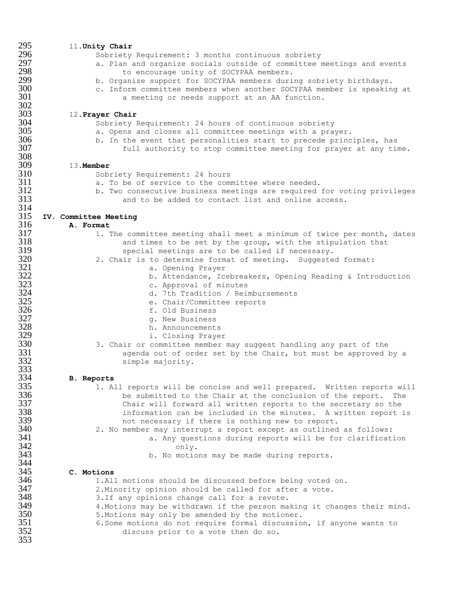| 295        | 11. Unity Chair                                                                                                                     |
|------------|-------------------------------------------------------------------------------------------------------------------------------------|
| 296        | Sobriety Requirement: 3 months continuous sobriety                                                                                  |
| 297        | a. Plan and organize socials outside of committee meetings and events                                                               |
| 298        | to encourage unity of SOCYPAA members.                                                                                              |
| 299        | b. Organize support for SOCYPAA members during sobriety birthdays.                                                                  |
| 300        | c. Inform committee members when another SOCYPAA member is speaking at                                                              |
| 301        | a meeting or needs support at an AA function.                                                                                       |
| 302        |                                                                                                                                     |
| 303        | 12. Prayer Chair                                                                                                                    |
| 304        | Sobriety Requirement: 24 hours of continuous sobriety                                                                               |
| 305        | a. Opens and closes all committee meetings with a prayer.                                                                           |
| 306<br>307 | b. In the event that personalities start to precede principles, has                                                                 |
| 308        | full authority to stop committee meeting for prayer at any time.                                                                    |
| 309        | 13. Member                                                                                                                          |
| 310        | Sobriety Requirement: 24 hours                                                                                                      |
| 311        | a. To be of service to the committee where needed.                                                                                  |
| 312        | b. Two consecutive business meetings are required for voting privileges                                                             |
| 313        | and to be added to contact list and online access.                                                                                  |
| 314        |                                                                                                                                     |
| 315        | IV. Committee Meeting                                                                                                               |
| 316        | A. Format                                                                                                                           |
| 317        | 1. The committee meeting shall meet a minimum of twice per month, dates                                                             |
| 318        | and times to be set by the group, with the stipulation that                                                                         |
| 319        | special meetings are to be called if necessary.                                                                                     |
| 320        | 2. Chair is to determine format of meeting. Suggested format:                                                                       |
| 321        | a. Opening Prayer                                                                                                                   |
| 322        | b. Attendance, Icebreakers, Opening Reading & Introduction                                                                          |
| 323        | c. Approval of minutes                                                                                                              |
| 324        | d. 7th Tradition / Reimbursements                                                                                                   |
| 325        | e. Chair/Committee reports                                                                                                          |
| 326        | f. Old Business                                                                                                                     |
| 327        | g. New Business                                                                                                                     |
| 328        | h. Announcements                                                                                                                    |
| 329        | i. Closing Prayer                                                                                                                   |
| 330        | 3. Chair or committee member may suggest handling any part of the                                                                   |
| 331        | agenda out of order set by the Chair, but must be approved by a                                                                     |
| 332        | simple majority.                                                                                                                    |
| 333<br>334 |                                                                                                                                     |
| 335        | Reports<br>в.                                                                                                                       |
| 336        | 1. All reports will be concise and well prepared. Written reports will                                                              |
| 337        | be submitted to the Chair at the conclusion of the report.<br>The<br>Chair will forward all written reports to the secretary so the |
| 338        | information can be included in the minutes. A written report is                                                                     |
| 339        | not necessary if there is nothing new to report.                                                                                    |
| 340        | 2. No member may interrupt a report except as outlined as follows:                                                                  |
| 341        | a. Any questions during reports will be for clarification                                                                           |
| 342        | only.                                                                                                                               |
| 343        | b. No motions may be made during reports.                                                                                           |
| 344        |                                                                                                                                     |
| 345        | C. Motions                                                                                                                          |
| 346        | 1.All motions should be discussed before being voted on.                                                                            |
| 347        | 2. Minority opinion should be called for after a vote.                                                                              |
| 348        | 3. If any opinions change call for a revote.                                                                                        |
| 349        | 4. Motions may be withdrawn if the person making it changes their mind.                                                             |
| 350        | 5. Motions may only be amended by the motioner.                                                                                     |
| 351        | 6. Some motions do not require formal discussion, if anyone wants to                                                                |
| 352        | discuss prior to a vote then do so.                                                                                                 |
| 353        |                                                                                                                                     |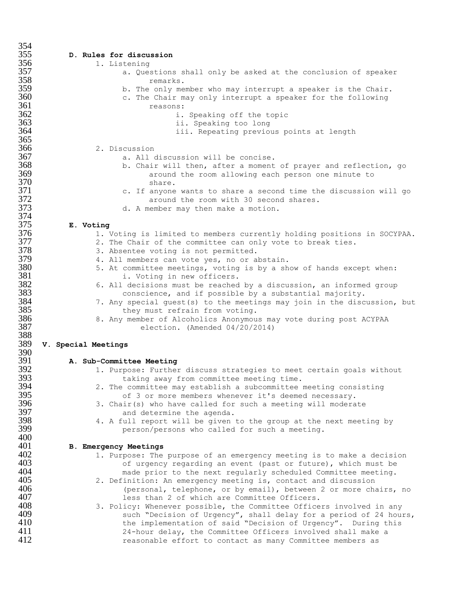| 354        |                                                                                                                          |  |
|------------|--------------------------------------------------------------------------------------------------------------------------|--|
| 355        | D. Rules for discussion                                                                                                  |  |
| 356        | 1. Listening                                                                                                             |  |
| 357        | a. Questions shall only be asked at the conclusion of speaker                                                            |  |
| 358        | remarks.                                                                                                                 |  |
| 359        | b. The only member who may interrupt a speaker is the Chair.                                                             |  |
| 360        | c. The Chair may only interrupt a speaker for the following                                                              |  |
| 361        |                                                                                                                          |  |
|            | reasons:                                                                                                                 |  |
| 362        | i. Speaking off the topic                                                                                                |  |
| 363        | ii. Speaking too long                                                                                                    |  |
| 364        | iii. Repeating previous points at length                                                                                 |  |
| 365        |                                                                                                                          |  |
| 366        | 2. Discussion                                                                                                            |  |
| 367        | a. All discussion will be concise.                                                                                       |  |
| 368        | b. Chair will then, after a moment of prayer and reflection, go                                                          |  |
| 369        | around the room allowing each person one minute to                                                                       |  |
| 370        | share.                                                                                                                   |  |
| 371        | c. If anyone wants to share a second time the discussion will go                                                         |  |
| 372        | around the room with 30 second shares.                                                                                   |  |
| 373        | d. A member may then make a motion.                                                                                      |  |
| 374        |                                                                                                                          |  |
| 375        | E. Voting                                                                                                                |  |
| 376        | 1. Voting is limited to members currently holding positions in SOCYPAA.                                                  |  |
| 377        | 2. The Chair of the committee can only vote to break ties.                                                               |  |
| 378        | 3. Absentee voting is not permitted.                                                                                     |  |
| 379        | 4. All members can vote yes, no or abstain.                                                                              |  |
| 380        | 5. At committee meetings, voting is by a show of hands except when:                                                      |  |
| 381        |                                                                                                                          |  |
| 382        | i. Voting in new officers.                                                                                               |  |
| 383        | 6. All decisions must be reached by a discussion, an informed group                                                      |  |
|            | conscience, and if possible by a substantial majority.                                                                   |  |
| 384        | 7. Any special guest (s) to the meetings may join in the discussion, but                                                 |  |
| 385        | they must refrain from voting.                                                                                           |  |
| 386        | 8. Any member of Alcoholics Anonymous may vote during post ACYPAA                                                        |  |
| 387        | election. (Amended 04/20/2014)                                                                                           |  |
| 388        |                                                                                                                          |  |
| 389        | V. Special Meetings                                                                                                      |  |
| 390        |                                                                                                                          |  |
| 391        | A. Sub-Committee Meeting                                                                                                 |  |
| 392        | 1. Purpose: Further discuss strategies to meet certain goals without                                                     |  |
| 393        | taking away from committee meeting time.                                                                                 |  |
| 394        | 2. The committee may establish a subcommittee meeting consisting                                                         |  |
| 395        | of 3 or more members whenever it's deemed necessary.                                                                     |  |
| 396        | 3. Chair(s) who have called for such a meeting will moderate                                                             |  |
| 397        | and determine the agenda.                                                                                                |  |
| 398        | 4. A full report will be given to the group at the next meeting by                                                       |  |
| 399        | person/persons who called for such a meeting.                                                                            |  |
| 400        |                                                                                                                          |  |
| 401        | <b>B. Emergency Meetings</b>                                                                                             |  |
| 402        | 1. Purpose: The purpose of an emergency meeting is to make a decision                                                    |  |
| 403        | of urgency regarding an event (past or future), which must be                                                            |  |
| 404        | made prior to the next regularly scheduled Committee meeting.                                                            |  |
| 405        | 2. Definition: An emergency meeting is, contact and discussion                                                           |  |
| 406        | (personal, telephone, or by email), between 2 or more chairs, no                                                         |  |
| 407        | less than 2 of which are Committee Officers.                                                                             |  |
| 408        |                                                                                                                          |  |
| 409        | 3. Policy: Whenever possible, the Committee Officers involved in any                                                     |  |
|            |                                                                                                                          |  |
|            | such "Decision of Urgency", shall delay for a period of 24 hours,                                                        |  |
| 410        | the implementation of said "Decision of Urgency". During this                                                            |  |
| 411<br>412 | 24-hour delay, the Committee Officers involved shall make a<br>reasonable effort to contact as many Committee members as |  |